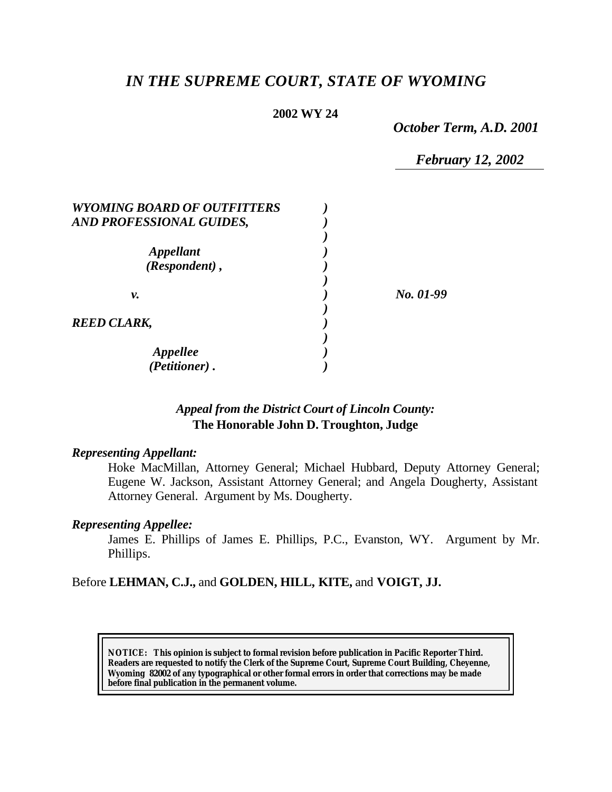# *IN THE SUPREME COURT, STATE OF WYOMING*

# **2002 WY 24**

*October Term, A.D. 2001*

*February 12, 2002*

| <b>WYOMING BOARD OF OUTFITTERS</b> |           |
|------------------------------------|-----------|
| AND PROFESSIONAL GUIDES,           |           |
|                                    |           |
| <i><b>Appellant</b></i>            |           |
| (Respondent),                      |           |
|                                    |           |
| ν.                                 | No. 01-99 |
|                                    |           |
| <b>REED CLARK,</b>                 |           |
|                                    |           |
| Appellee                           |           |
| (Petitioner).                      |           |

# *Appeal from the District Court of Lincoln County:* **The Honorable John D. Troughton, Judge**

# *Representing Appellant:*

Hoke MacMillan, Attorney General; Michael Hubbard, Deputy Attorney General; Eugene W. Jackson, Assistant Attorney General; and Angela Dougherty, Assistant Attorney General. Argument by Ms. Dougherty.

# *Representing Appellee:*

James E. Phillips of James E. Phillips, P.C., Evanston, WY. Argument by Mr. Phillips.

# Before **LEHMAN, C.J.,** and **GOLDEN, HILL, KITE,** and **VOIGT, JJ.**

**NOTICE:** *This opinion is subject to formal revision before publication in Pacific Reporter Third. Readers are requested to notify the Clerk of the Supreme Court, Supreme Court Building, Cheyenne, Wyoming 82002 of any typographical or other formal errors in order that corrections may be made before final publication in the permanent volume.*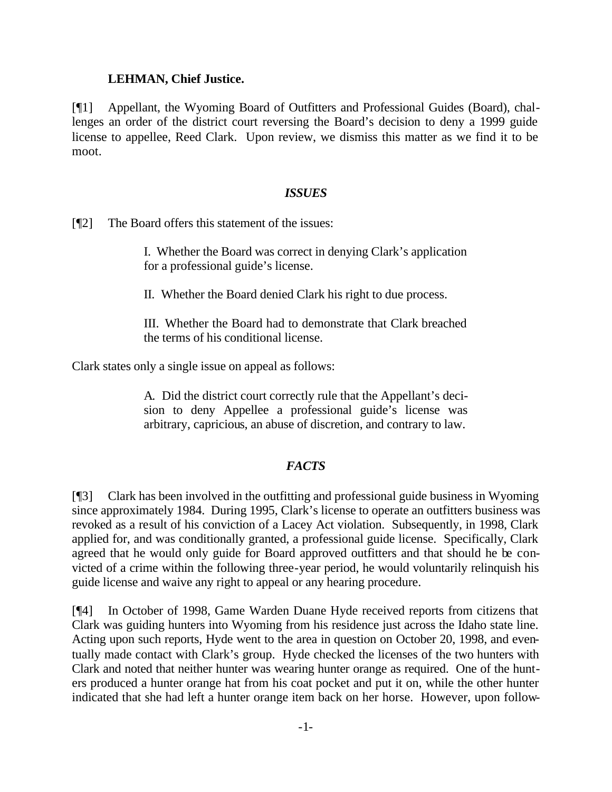# **LEHMAN, Chief Justice.**

[¶1] Appellant, the Wyoming Board of Outfitters and Professional Guides (Board), challenges an order of the district court reversing the Board's decision to deny a 1999 guide license to appellee, Reed Clark. Upon review, we dismiss this matter as we find it to be moot.

#### *ISSUES*

[¶2] The Board offers this statement of the issues:

I. Whether the Board was correct in denying Clark's application for a professional guide's license.

II. Whether the Board denied Clark his right to due process.

III. Whether the Board had to demonstrate that Clark breached the terms of his conditional license.

Clark states only a single issue on appeal as follows:

A. Did the district court correctly rule that the Appellant's decision to deny Appellee a professional guide's license was arbitrary, capricious, an abuse of discretion, and contrary to law.

# *FACTS*

[¶3] Clark has been involved in the outfitting and professional guide business in Wyoming since approximately 1984. During 1995, Clark's license to operate an outfitters business was revoked as a result of his conviction of a Lacey Act violation. Subsequently, in 1998, Clark applied for, and was conditionally granted, a professional guide license. Specifically, Clark agreed that he would only guide for Board approved outfitters and that should he be convicted of a crime within the following three-year period, he would voluntarily relinquish his guide license and waive any right to appeal or any hearing procedure.

[¶4] In October of 1998, Game Warden Duane Hyde received reports from citizens that Clark was guiding hunters into Wyoming from his residence just across the Idaho state line. Acting upon such reports, Hyde went to the area in question on October 20, 1998, and eventually made contact with Clark's group. Hyde checked the licenses of the two hunters with Clark and noted that neither hunter was wearing hunter orange as required. One of the hunters produced a hunter orange hat from his coat pocket and put it on, while the other hunter indicated that she had left a hunter orange item back on her horse. However, upon follow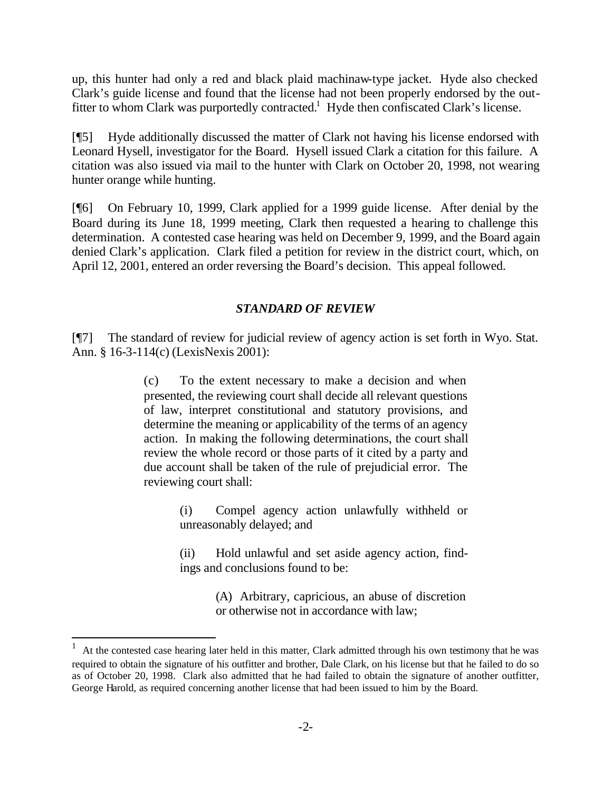up, this hunter had only a red and black plaid machinaw-type jacket. Hyde also checked Clark's guide license and found that the license had not been properly endorsed by the outfitter to whom Clark was purportedly contracted.<sup>1</sup> Hyde then confiscated Clark's license.

[¶5] Hyde additionally discussed the matter of Clark not having his license endorsed with Leonard Hysell, investigator for the Board. Hysell issued Clark a citation for this failure. A citation was also issued via mail to the hunter with Clark on October 20, 1998, not wearing hunter orange while hunting.

[¶6] On February 10, 1999, Clark applied for a 1999 guide license. After denial by the Board during its June 18, 1999 meeting, Clark then requested a hearing to challenge this determination. A contested case hearing was held on December 9, 1999, and the Board again denied Clark's application. Clark filed a petition for review in the district court, which, on April 12, 2001, entered an order reversing the Board's decision. This appeal followed.

# *STANDARD OF REVIEW*

[¶7] The standard of review for judicial review of agency action is set forth in Wyo. Stat. Ann. § 16-3-114(c) (LexisNexis 2001):

> (c) To the extent necessary to make a decision and when presented, the reviewing court shall decide all relevant questions of law, interpret constitutional and statutory provisions, and determine the meaning or applicability of the terms of an agency action. In making the following determinations, the court shall review the whole record or those parts of it cited by a party and due account shall be taken of the rule of prejudicial error. The reviewing court shall:

> > (i) Compel agency action unlawfully withheld or unreasonably delayed; and

> > (ii) Hold unlawful and set aside agency action, findings and conclusions found to be:

> > > (A) Arbitrary, capricious, an abuse of discretion or otherwise not in accordance with law;

l

<sup>1</sup> At the contested case hearing later held in this matter, Clark admitted through his own testimony that he was required to obtain the signature of his outfitter and brother, Dale Clark, on his license but that he failed to do so as of October 20, 1998. Clark also admitted that he had failed to obtain the signature of another outfitter, George Harold, as required concerning another license that had been issued to him by the Board.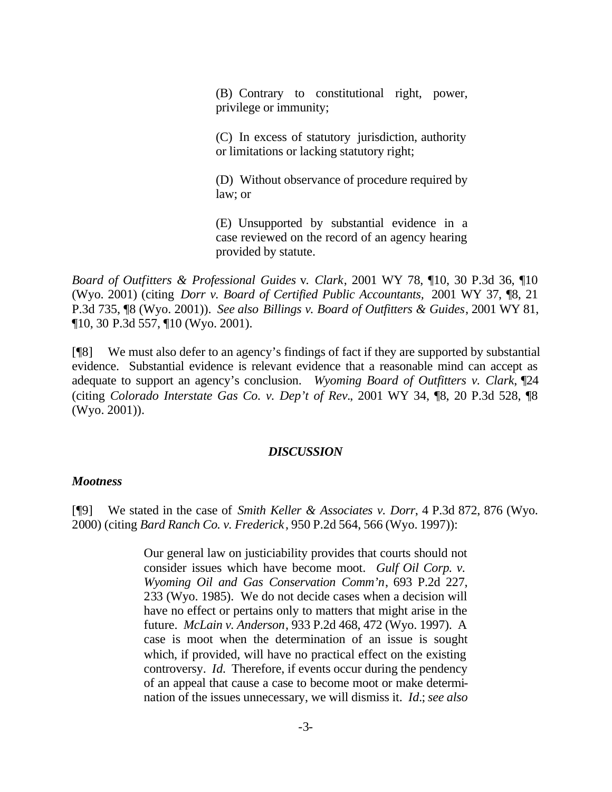(B) Contrary to constitutional right, power, privilege or immunity;

(C) In excess of statutory jurisdiction, authority or limitations or lacking statutory right;

(D) Without observance of procedure required by law; or

(E) Unsupported by substantial evidence in a case reviewed on the record of an agency hearing provided by statute.

*Board of Outfitters & Professional Guides* v. *Clark*, 2001 WY 78, ¶10, 30 P.3d 36, ¶10 (Wyo. 2001) (citing *Dorr v. Board of Certified Public Accountants,* 2001 WY 37, ¶8, 21 P.3d 735, ¶8 (Wyo. 2001)). *See also Billings v. Board of Outfitters & Guides*, 2001 WY 81, ¶10, 30 P.3d 557, ¶10 (Wyo. 2001).

[¶8] We must also defer to an agency's findings of fact if they are supported by substantial evidence. Substantial evidence is relevant evidence that a reasonable mind can accept as adequate to support an agency's conclusion. *Wyoming Board of Outfitters v. Clark*, ¶24 (citing *Colorado Interstate Gas Co. v. Dep't of Rev.*, 2001 WY 34, ¶8, 20 P.3d 528, ¶8 (Wyo. 2001)).

# *DISCUSSION*

#### *Mootness*

[¶9] We stated in the case of *Smith Keller & Associates v. Dorr*, 4 P.3d 872, 876 (Wyo. 2000) (citing *Bard Ranch Co. v. Frederick*, 950 P.2d 564, 566 (Wyo. 1997)):

> Our general law on justiciability provides that courts should not consider issues which have become moot. *Gulf Oil Corp. v. Wyoming Oil and Gas Conservation Comm'n*, 693 P.2d 227, 233 (Wyo. 1985). We do not decide cases when a decision will have no effect or pertains only to matters that might arise in the future. *McLain v. Anderson*, 933 P.2d 468, 472 (Wyo. 1997). A case is moot when the determination of an issue is sought which, if provided, will have no practical effect on the existing controversy. *Id.* Therefore, if events occur during the pendency of an appeal that cause a case to become moot or make determination of the issues unnecessary, we will dismiss it. *Id.*; *see also*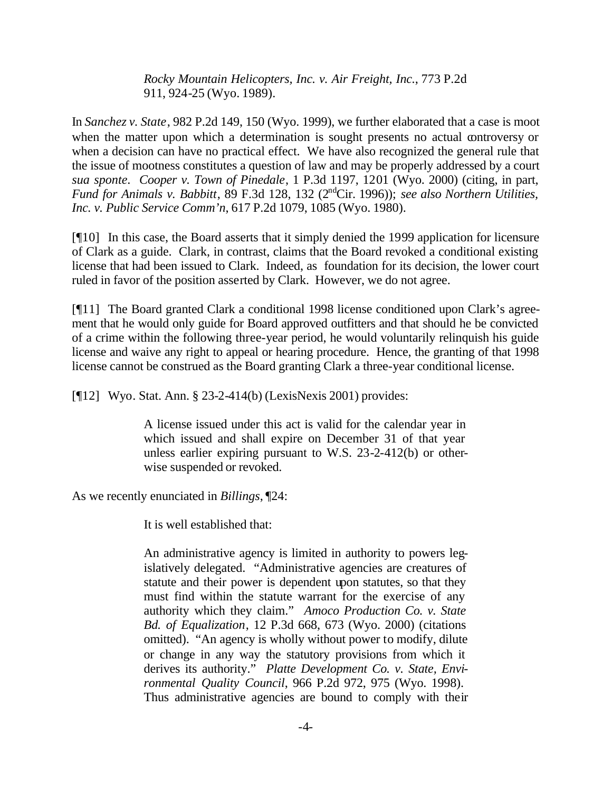*Rocky Mountain Helicopters, Inc. v. Air Freight, Inc.*, 773 P.2d 911, 924-25 (Wyo. 1989).

In *Sanchez v. State*, 982 P.2d 149, 150 (Wyo. 1999), we further elaborated that a case is moot when the matter upon which a determination is sought presents no actual controversy or when a decision can have no practical effect. We have also recognized the general rule that the issue of mootness constitutes a question of law and may be properly addressed by a court *sua sponte*. *Cooper v. Town of Pinedale*, 1 P.3d 1197, 1201 (Wyo. 2000) (citing, in part, *Fund for Animals v. Babbitt*, 89 F.3d 128, 132 (2ndCir. 1996)); *see also Northern Utilities, Inc. v. Public Service Comm'n*, 617 P.2d 1079, 1085 (Wyo. 1980).

[¶10] In this case, the Board asserts that it simply denied the 1999 application for licensure of Clark as a guide. Clark, in contrast, claims that the Board revoked a conditional existing license that had been issued to Clark. Indeed, as foundation for its decision, the lower court ruled in favor of the position asserted by Clark. However, we do not agree.

[¶11] The Board granted Clark a conditional 1998 license conditioned upon Clark's agreement that he would only guide for Board approved outfitters and that should he be convicted of a crime within the following three-year period, he would voluntarily relinquish his guide license and waive any right to appeal or hearing procedure. Hence, the granting of that 1998 license cannot be construed as the Board granting Clark a three-year conditional license.

[¶12] Wyo. Stat. Ann. § 23-2-414(b) (LexisNexis 2001) provides:

A license issued under this act is valid for the calendar year in which issued and shall expire on December 31 of that year unless earlier expiring pursuant to W.S. 23-2-412(b) or otherwise suspended or revoked.

As we recently enunciated in *Billings*, ¶24:

It is well established that:

An administrative agency is limited in authority to powers legislatively delegated. "Administrative agencies are creatures of statute and their power is dependent upon statutes, so that they must find within the statute warrant for the exercise of any authority which they claim." *Amoco Production Co. v. State Bd. of Equalization*, 12 P.3d 668, 673 (Wyo. 2000) (citations omitted). "An agency is wholly without power to modify, dilute or change in any way the statutory provisions from which it derives its authority." *Platte Development Co. v. State, Environmental Quality Council*, 966 P.2d 972, 975 (Wyo. 1998). Thus administrative agencies are bound to comply with their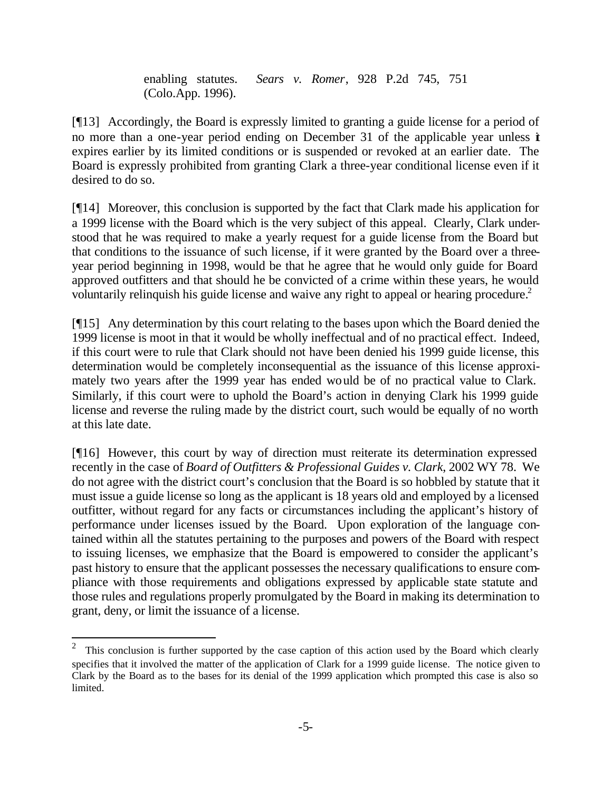enabling statutes. *Sears v. Romer*, 928 P.2d 745, 751 (Colo.App. 1996).

[¶13] Accordingly, the Board is expressly limited to granting a guide license for a period of no more than a one-year period ending on December 31 of the applicable year unless it expires earlier by its limited conditions or is suspended or revoked at an earlier date. The Board is expressly prohibited from granting Clark a three-year conditional license even if it desired to do so.

[¶14] Moreover, this conclusion is supported by the fact that Clark made his application for a 1999 license with the Board which is the very subject of this appeal. Clearly, Clark understood that he was required to make a yearly request for a guide license from the Board but that conditions to the issuance of such license, if it were granted by the Board over a threeyear period beginning in 1998, would be that he agree that he would only guide for Board approved outfitters and that should he be convicted of a crime within these years, he would voluntarily relinquish his guide license and waive any right to appeal or hearing procedure.<sup>2</sup>

[¶15] Any determination by this court relating to the bases upon which the Board denied the 1999 license is moot in that it would be wholly ineffectual and of no practical effect. Indeed, if this court were to rule that Clark should not have been denied his 1999 guide license, this determination would be completely inconsequential as the issuance of this license approximately two years after the 1999 year has ended would be of no practical value to Clark. Similarly, if this court were to uphold the Board's action in denying Clark his 1999 guide license and reverse the ruling made by the district court, such would be equally of no worth at this late date.

[¶16] However, this court by way of direction must reiterate its determination expressed recently in the case of *Board of Outfitters & Professional Guides v. Clark*, 2002 WY 78. We do not agree with the district court's conclusion that the Board is so hobbled by statute that it must issue a guide license so long as the applicant is 18 years old and employed by a licensed outfitter, without regard for any facts or circumstances including the applicant's history of performance under licenses issued by the Board. Upon exploration of the language contained within all the statutes pertaining to the purposes and powers of the Board with respect to issuing licenses, we emphasize that the Board is empowered to consider the applicant's past history to ensure that the applicant possesses the necessary qualifications to ensure compliance with those requirements and obligations expressed by applicable state statute and those rules and regulations properly promulgated by the Board in making its determination to grant, deny, or limit the issuance of a license.

l

<sup>2</sup> This conclusion is further supported by the case caption of this action used by the Board which clearly specifies that it involved the matter of the application of Clark for a 1999 guide license. The notice given to Clark by the Board as to the bases for its denial of the 1999 application which prompted this case is also so limited.